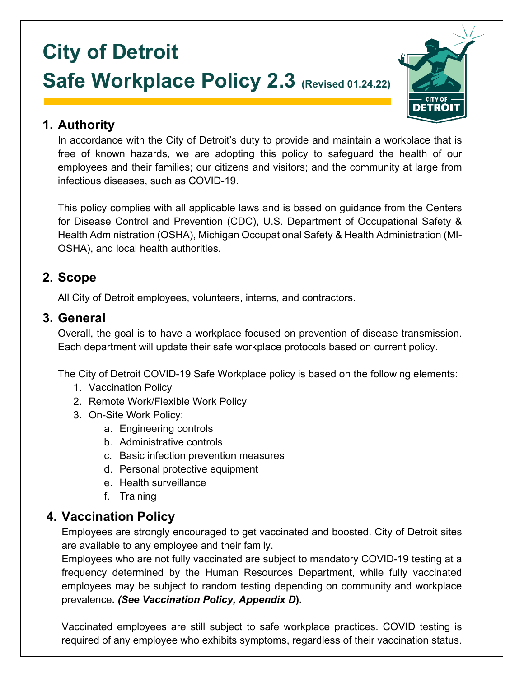# **City of Detroit Safe Workplace Policy 2.3 (Revised 01.24.22)**



### **1. Authority**

In accordance with the City of Detroit's duty to provide and maintain a workplace that is free of known hazards, we are adopting this policy to safeguard the health of our employees and their families; our citizens and visitors; and the community at large from infectious diseases, such as COVID-19.

This policy complies with all applicable laws and is based on guidance from the Centers for Disease Control and Prevention (CDC), U.S. Department of Occupational Safety & Health Administration (OSHA), Michigan Occupational Safety & Health Administration (MI-OSHA), and local health authorities.

### **2. Scope**

All City of Detroit employees, volunteers, interns, and contractors.

### **3. General**

Overall, the goal is to have a workplace focused on prevention of disease transmission. Each department will update their safe workplace protocols based on current policy.

The City of Detroit COVID-19 Safe Workplace policy is based on the following elements:

- 1. Vaccination Policy
- 2. Remote Work/Flexible Work Policy
- 3. On-Site Work Policy:
	- a. Engineering controls
	- b. Administrative controls
	- c. Basic infection prevention measures
	- d. Personal protective equipment
	- e. Health surveillance
	- f. Training

### **4. Vaccination Policy**

Employees are strongly encouraged to get vaccinated and boosted. City of Detroit sites are available to any employee and their family.

Employees who are not fully vaccinated are subject to mandatory COVID-19 testing at a frequency determined by the Human Resources Department, while fully vaccinated employees may be subject to random testing depending on community and workplace prevalence**.** *(See Vaccination Policy, Appendix D***).**

Vaccinated employees are still subject to safe workplace practices. COVID testing is required of any employee who exhibits symptoms, regardless of their vaccination status.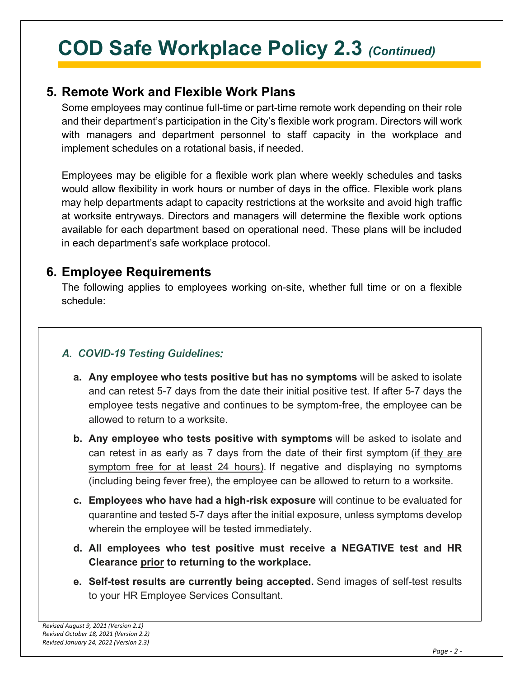### **5. Remote Work and Flexible Work Plans**

Some employees may continue full-time or part-time remote work depending on their role and their department's participation in the City's flexible work program. Directors will work with managers and department personnel to staff capacity in the workplace and implement schedules on a rotational basis, if needed.

Employees may be eligible for a flexible work plan where weekly schedules and tasks would allow flexibility in work hours or number of days in the office. Flexible work plans may help departments adapt to capacity restrictions at the worksite and avoid high traffic at worksite entryways. Directors and managers will determine the flexible work options available for each department based on operational need. These plans will be included in each department's safe workplace protocol.

### **6. Employee Requirements**

The following applies to employees working on-site, whether full time or on a flexible schedule:

### A. COVID-19 Testing Guidelines:

- **a. Any employee who tests positive but has no symptoms** will be asked to isolate and can retest 5-7 days from the date their initial positive test. If after 5-7 days the employee tests negative and continues to be symptom-free, the employee can be allowed to return to a worksite.
- **b. Any employee who tests positive with symptoms** will be asked to isolate and can retest in as early as 7 days from the date of their first symptom (if they are symptom free for at least 24 hours). If negative and displaying no symptoms (including being fever free), the employee can be allowed to return to a worksite.
- **c. Employees who have had a high-risk exposure** will continue to be evaluated for quarantine and tested 5-7 days after the initial exposure, unless symptoms develop wherein the employee will be tested immediately.
- **d. All employees who test positive must receive a NEGATIVE test and HR Clearance prior to returning to the workplace.**
- **e. Self-test results are currently being accepted.** Send images of self-test results to your HR Employee Services Consultant.

*COD Safe Workplace Policy 2.3*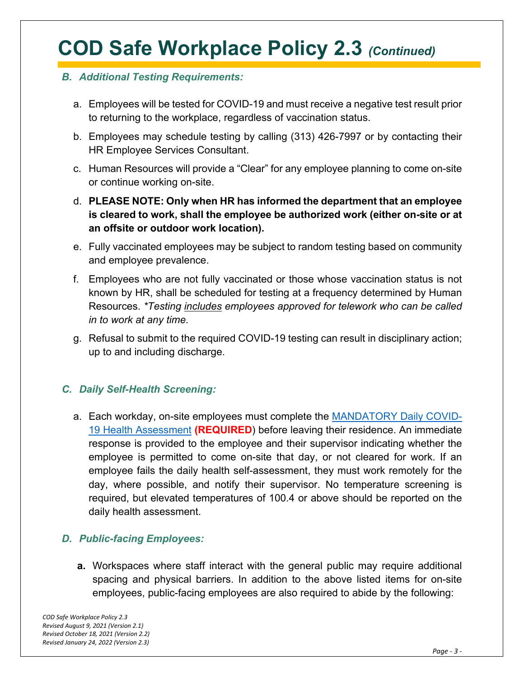#### *B. Additional Testing Requirements:*

- a. Employees will be tested for COVID-19 and must receive a negative test result prior to returning to the workplace, regardless of vaccination status.
- b. Employees may schedule testing by calling (313) 426-7997 or by contacting their HR Employee Services Consultant.
- c. Human Resources will provide a "Clear" for any employee planning to come on-site or continue working on-site.
- d. **PLEASE NOTE: Only when HR has informed the department that an employee is cleared to work, shall the employee be authorized work (either on-site or at an offsite or outdoor work location).**
- e. Fully vaccinated employees may be subject to random testing based on community and employee prevalence.
- f. Employees who are not fully vaccinated or those whose vaccination status is not known by HR, shall be scheduled for testing at a frequency determined by Human Resources. *\*Testing includes employees approved for telework who can be called in to work at any time.*
- g. Refusal to submit to the required COVID-19 testing can result in disciplinary action; up to and including discharge.

#### *C. Daily Self-Health Screening:*

a. Each workday, on-site employees must complete the [MANDATORY Daily COVID-](https://app.smartsheet.com/b/form/c892e9902bea49fd98a1363ab5d0cacb)[19 Health Assessment](https://app.smartsheet.com/b/form/c892e9902bea49fd98a1363ab5d0cacb) **(REQUIRED**) before leaving their residence. An immediate response is provided to the employee and their supervisor indicating whether the employee is permitted to come on-site that day, or not cleared for work. If an employee fails the daily health self-assessment, they must work remotely for the day, where possible, and notify their supervisor. No temperature screening is required, but elevated temperatures of 100.4 or above should be reported on the daily health assessment.

#### *D. Public-facing Employees:*

**a.** Workspaces where staff interact with the general public may require additional spacing and physical barriers. In addition to the above listed items for on-site employees, public-facing employees are also required to abide by the following: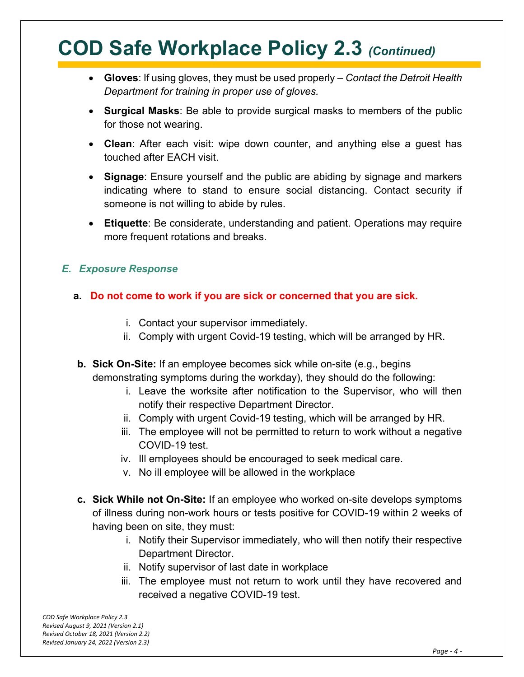- **Gloves**: If using gloves, they must be used properly *– Contact the Detroit Health Department for training in proper use of gloves.*
- **Surgical Masks**: Be able to provide surgical masks to members of the public for those not wearing.
- **Clean**: After each visit: wipe down counter, and anything else a guest has touched after EACH visit.
- **Signage**: Ensure yourself and the public are abiding by signage and markers indicating where to stand to ensure social distancing. Contact security if someone is not willing to abide by rules.
- **Etiquette**: Be considerate, understanding and patient. Operations may require more frequent rotations and breaks.

#### *E. Exposure Response*

- **a. Do not come to work if you are sick or concerned that you are sick.**
	- i. Contact your supervisor immediately.
	- ii. Comply with urgent Covid-19 testing, which will be arranged by HR.
	- **b. Sick On-Site:** If an employee becomes sick while on-site (e.g., begins demonstrating symptoms during the workday), they should do the following:
		- i. Leave the worksite after notification to the Supervisor, who will then notify their respective Department Director.
		- ii. Comply with urgent Covid-19 testing, which will be arranged by HR.
		- iii. The employee will not be permitted to return to work without a negative COVID-19 test.
		- iv. Ill employees should be encouraged to seek medical care.
		- v. No ill employee will be allowed in the workplace
	- **c. Sick While not On-Site:** If an employee who worked on-site develops symptoms of illness during non-work hours or tests positive for COVID-19 within 2 weeks of having been on site, they must:
		- i. Notify their Supervisor immediately, who will then notify their respective Department Director.
		- ii. Notify supervisor of last date in workplace
		- iii. The employee must not return to work until they have recovered and received a negative COVID-19 test.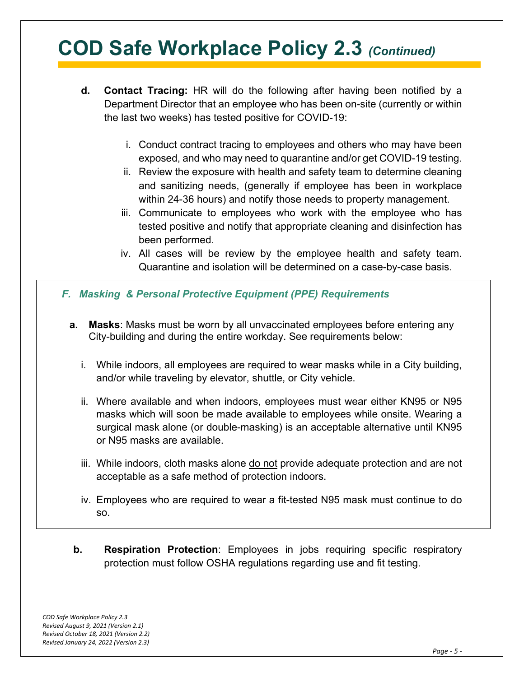- **d. Contact Tracing:** HR will do the following after having been notified by a Department Director that an employee who has been on-site (currently or within the last two weeks) has tested positive for COVID-19:
	- i. Conduct contract tracing to employees and others who may have been exposed, and who may need to quarantine and/or get COVID-19 testing.
	- ii. Review the exposure with health and safety team to determine cleaning and sanitizing needs, (generally if employee has been in workplace within 24-36 hours) and notify those needs to property management.
	- iii. Communicate to employees who work with the employee who has tested positive and notify that appropriate cleaning and disinfection has been performed.
	- iv. All cases will be review by the employee health and safety team. Quarantine and isolation will be determined on a case-by-case basis.
- *F. Masking & Personal Protective Equipment (PPE) Requirements*
	- **a. Masks**: Masks must be worn by all unvaccinated employees before entering any City-building and during the entire workday. See requirements below:
		- i. While indoors, all employees are required to wear masks while in a City building, and/or while traveling by elevator, shuttle, or City vehicle.
		- ii. Where available and when indoors, employees must wear either KN95 or N95 masks which will soon be made available to employees while onsite. Wearing a surgical mask alone (or double-masking) is an acceptable alternative until KN95 or N95 masks are available.
		- iii. While indoors, cloth masks alone do not provide adequate protection and are not acceptable as a safe method of protection indoors.
		- iv. Employees who are required to wear a fit-tested N95 mask must continue to do so.
	- **b. Respiration Protection**: Employees in jobs requiring specific respiratory protection must follow OSHA regulations regarding use and fit testing.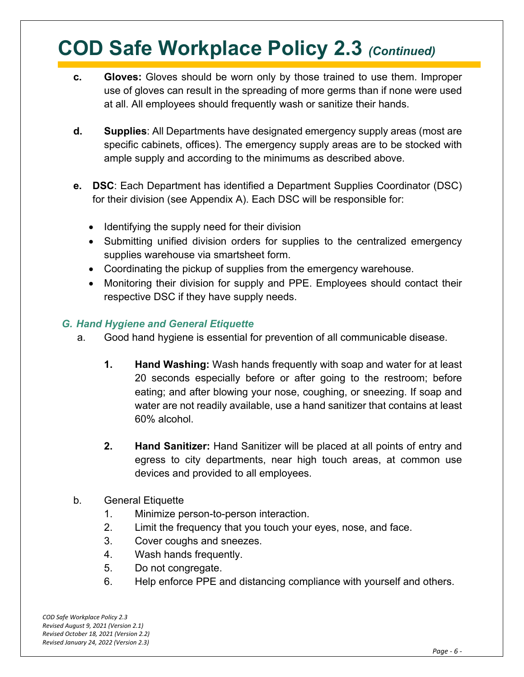- **c. Gloves:** Gloves should be worn only by those trained to use them. Improper use of gloves can result in the spreading of more germs than if none were used at all. All employees should frequently wash or sanitize their hands.
- **d. Supplies**: All Departments have designated emergency supply areas (most are specific cabinets, offices). The emergency supply areas are to be stocked with ample supply and according to the minimums as described above.
- **e. DSC**: Each Department has identified a Department Supplies Coordinator (DSC) for their division (see Appendix A). Each DSC will be responsible for:
	- Identifying the supply need for their division
	- Submitting unified division orders for supplies to the centralized emergency supplies warehouse via smartsheet form.
	- Coordinating the pickup of supplies from the emergency warehouse.
	- Monitoring their division for supply and PPE. Employees should contact their respective DSC if they have supply needs.

#### *G. Hand Hygiene and General Etiquette*

- a. Good hand hygiene is essential for prevention of all communicable disease.
	- **1. Hand Washing:** Wash hands frequently with soap and water for at least 20 seconds especially before or after going to the restroom; before eating; and after blowing your nose, coughing, or sneezing. If soap and water are not readily available, use a hand sanitizer that contains at least 60% alcohol.
	- **2. Hand Sanitizer:** Hand Sanitizer will be placed at all points of entry and egress to city departments, near high touch areas, at common use devices and provided to all employees.
- b. General Etiquette
	- 1. Minimize person-to-person interaction.
	- 2. Limit the frequency that you touch your eyes, nose, and face.
	- 3. Cover coughs and sneezes.
	- 4. Wash hands frequently.
	- 5. Do not congregate.
	- 6. Help enforce PPE and distancing compliance with yourself and others.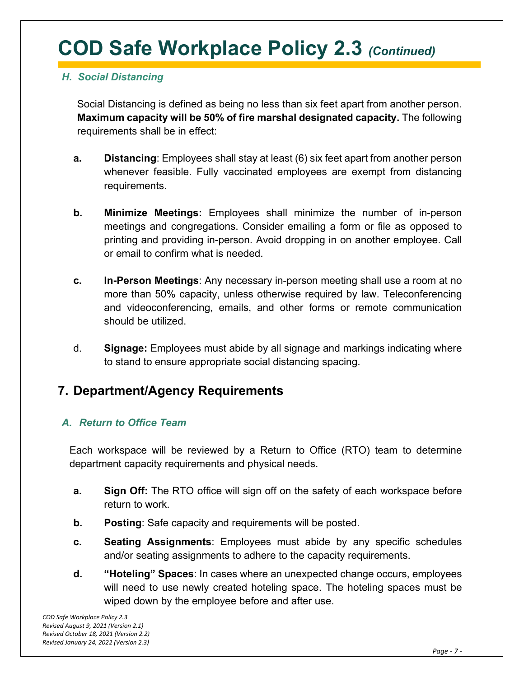#### *H. Social Distancing*

Social Distancing is defined as being no less than six feet apart from another person. **Maximum capacity will be 50% of fire marshal designated capacity.** The following requirements shall be in effect:

- **a. Distancing**: Employees shall stay at least (6) six feet apart from another person whenever feasible. Fully vaccinated employees are exempt from distancing requirements.
- **b. Minimize Meetings:** Employees shall minimize the number of in-person meetings and congregations. Consider emailing a form or file as opposed to printing and providing in-person. Avoid dropping in on another employee. Call or email to confirm what is needed.
- **c. In-Person Meetings**: Any necessary in-person meeting shall use a room at no more than 50% capacity, unless otherwise required by law. Teleconferencing and videoconferencing, emails, and other forms or remote communication should be utilized.
- d. **Signage:** Employees must abide by all signage and markings indicating where to stand to ensure appropriate social distancing spacing.

### **7. Department/Agency Requirements**

#### *A. Return to Office Team*

Each workspace will be reviewed by a Return to Office (RTO) team to determine department capacity requirements and physical needs.

- **a. Sign Off:** The RTO office will sign off on the safety of each workspace before return to work.
- **b. Posting**: Safe capacity and requirements will be posted.
- **c. Seating Assignments**: Employees must abide by any specific schedules and/or seating assignments to adhere to the capacity requirements.
- **d. "Hoteling" Spaces**: In cases where an unexpected change occurs, employees will need to use newly created hoteling space. The hoteling spaces must be wiped down by the employee before and after use.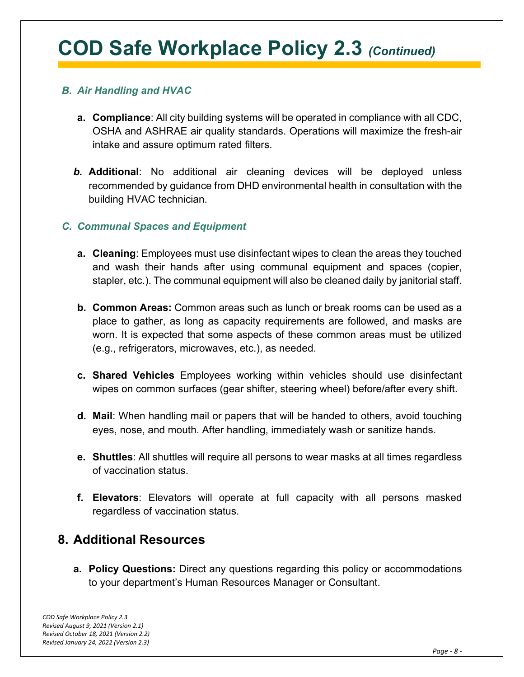#### *B. Air Handling and HVAC*

- **a. Compliance**: All city building systems will be operated in compliance with all CDC, OSHA and ASHRAE air quality standards. Operations will maximize the fresh-air intake and assure optimum rated filters.
- *b.* **Additional**: No additional air cleaning devices will be deployed unless recommended by guidance from DHD environmental health in consultation with the building HVAC technician.

#### *C. Communal Spaces and Equipment*

- **a. Cleaning**: Employees must use disinfectant wipes to clean the areas they touched and wash their hands after using communal equipment and spaces (copier, stapler, etc.). The communal equipment will also be cleaned daily by janitorial staff.
- **b. Common Areas:** Common areas such as lunch or break rooms can be used as a place to gather, as long as capacity requirements are followed, and masks are worn. It is expected that some aspects of these common areas must be utilized (e.g., refrigerators, microwaves, etc.), as needed.
- **c. Shared Vehicles** Employees working within vehicles should use disinfectant wipes on common surfaces (gear shifter, steering wheel) before/after every shift.
- **d. Mail**: When handling mail or papers that will be handed to others, avoid touching eyes, nose, and mouth. After handling, immediately wash or sanitize hands.
- **e. Shuttles**: All shuttles will require all persons to wear masks at all times regardless of vaccination status.
- **f. Elevators**: Elevators will operate at full capacity with all persons masked regardless of vaccination status.

### **8. Additional Resources**

**a. Policy Questions:** Direct any questions regarding this policy or accommodations to your department's Human Resources Manager or Consultant.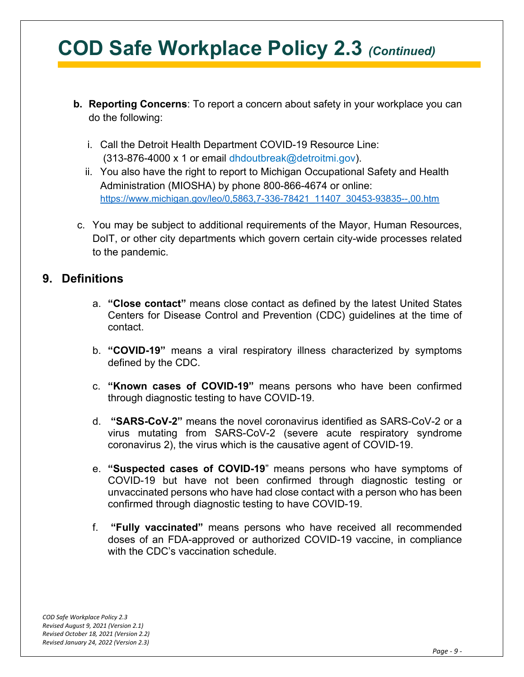- **b. Reporting Concerns**: To report a concern about safety in your workplace you can do the following:
	- i. Call the Detroit Health Department COVID-19 Resource Line: (313-876-4000 x 1 or email dhdoutbreak@detroitmi.gov).
	- ii. You also have the right to report to Michigan Occupational Safety and Health Administration (MIOSHA) by phone 800-866-4674 or online: [https://www.michigan.gov/leo/0,5863,7-336-78421\\_11407\\_30453-93835--,00.htm](https://www.michigan.gov/leo/0,5863,7-336-78421_11407_30453-93835--,00.htm)
- c. You may be subject to additional requirements of the Mayor, Human Resources, DoIT, or other city departments which govern certain city-wide processes related to the pandemic.

#### **9. Definitions**

- a. **"Close contact"** means close contact as defined by the latest United States Centers for Disease Control and Prevention (CDC) guidelines at the time of contact.
- b. **"COVID-19"** means a viral respiratory illness characterized by symptoms defined by the CDC.
- c. **"Known cases of COVID-19"** means persons who have been confirmed through diagnostic testing to have COVID-19.
- d. **"SARS-CoV-2"** means the novel coronavirus identified as SARS-CoV-2 or a virus mutating from SARS-CoV-2 (severe acute respiratory syndrome coronavirus 2), the virus which is the causative agent of COVID-19.
- e. **"Suspected cases of COVID-19**" means persons who have symptoms of COVID-19 but have not been confirmed through diagnostic testing or unvaccinated persons who have had close contact with a person who has been confirmed through diagnostic testing to have COVID-19.
- f. **"Fully vaccinated"** means persons who have received all recommended doses of an FDA-approved or authorized COVID-19 vaccine, in compliance with the CDC's vaccination schedule.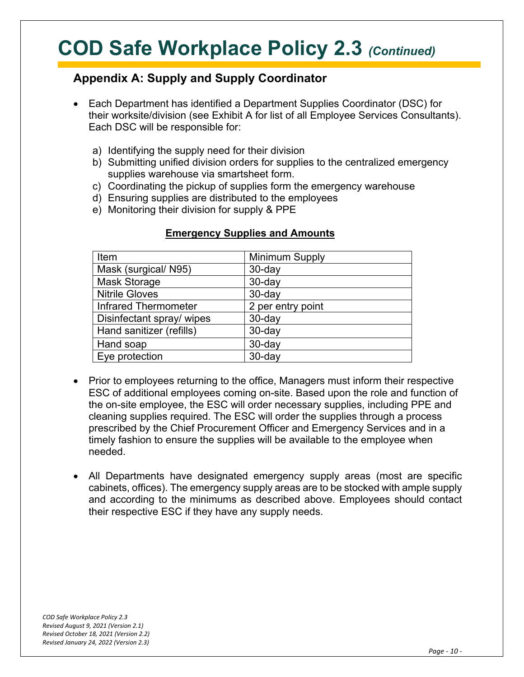### **Appendix A: Supply and Supply Coordinator**

- Each Department has identified a Department Supplies Coordinator (DSC) for their worksite/division (see Exhibit A for list of all Employee Services Consultants). Each DSC will be responsible for:
	- a) Identifying the supply need for their division
	- b) Submitting unified division orders for supplies to the centralized emergency supplies warehouse via smartsheet form.
	- c) Coordinating the pickup of supplies form the emergency warehouse
	- d) Ensuring supplies are distributed to the employees
	- e) Monitoring their division for supply & PPE

| Item                        | <b>Minimum Supply</b> |
|-----------------------------|-----------------------|
| Mask (surgical/ N95)        | $30$ -day             |
| <b>Mask Storage</b>         | $30$ -day             |
| <b>Nitrile Gloves</b>       | $30$ -day             |
| <b>Infrared Thermometer</b> | 2 per entry point     |
| Disinfectant spray/ wipes   | $30$ -day             |
| Hand sanitizer (refills)    | $30$ -day             |
| Hand soap                   | $30$ -day             |
| Eye protection              | $30$ -day             |

#### **Emergency Supplies and Amounts**

- Prior to employees returning to the office, Managers must inform their respective ESC of additional employees coming on-site. Based upon the role and function of the on-site employee, the ESC will order necessary supplies, including PPE and cleaning supplies required. The ESC will order the supplies through a process prescribed by the Chief Procurement Officer and Emergency Services and in a timely fashion to ensure the supplies will be available to the employee when needed.
- All Departments have designated emergency supply areas (most are specific cabinets, offices). The emergency supply areas are to be stocked with ample supply and according to the minimums as described above. Employees should contact their respective ESC if they have any supply needs.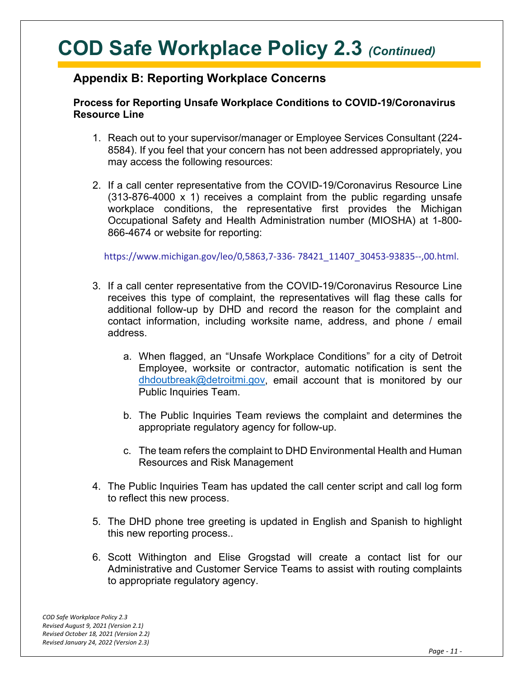#### **Appendix B: Reporting Workplace Concerns**

#### **Process for Reporting Unsafe Workplace Conditions to COVID-19/Coronavirus Resource Line**

- 1. Reach out to your supervisor/manager or Employee Services Consultant (224- 8584). If you feel that your concern has not been addressed appropriately, you may access the following resources:
- 2. If a call center representative from the COVID-19/Coronavirus Resource Line (313-876-4000 x 1) receives a complaint from the public regarding unsafe workplace conditions, the representative first provides the Michigan Occupational Safety and Health Administration number (MIOSHA) at 1-800- 866-4674 or website for reporting:

https://www.michigan.gov/leo/0,5863,7-336- 78421\_11407\_30453-93835--,00.html.

- 3. If a call center representative from the COVID-19/Coronavirus Resource Line receives this type of complaint, the representatives will flag these calls for additional follow-up by DHD and record the reason for the complaint and contact information, including worksite name, address, and phone / email address.
	- a. When flagged, an "Unsafe Workplace Conditions" for a city of Detroit Employee, worksite or contractor, automatic notification is sent the [dhdoutbreak@detroitmi.gov,](mailto:dhdoutbreak@detroitmi.gov) email account that is monitored by our Public Inquiries Team.
	- b. The Public Inquiries Team reviews the complaint and determines the appropriate regulatory agency for follow-up.
	- c. The team refers the complaint to DHD Environmental Health and Human Resources and Risk Management
- 4. The Public Inquiries Team has updated the call center script and call log form to reflect this new process.
- 5. The DHD phone tree greeting is updated in English and Spanish to highlight this new reporting process..
- 6. Scott Withington and Elise Grogstad will create a contact list for our Administrative and Customer Service Teams to assist with routing complaints to appropriate regulatory agency.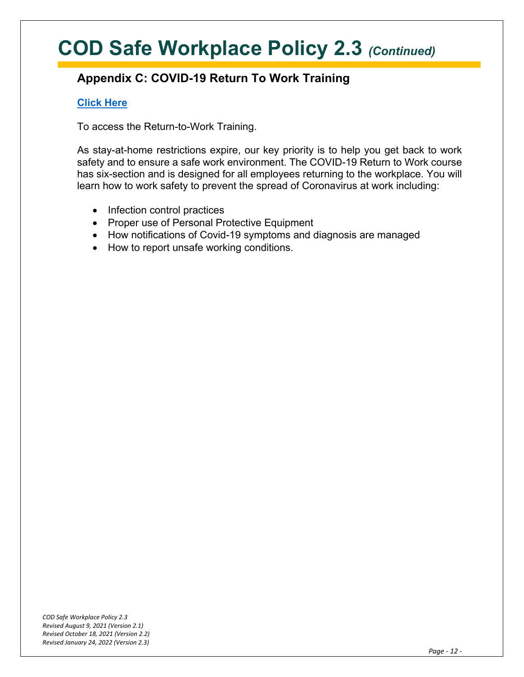### **Appendix C: COVID-19 Return To Work Training**

#### **[Click Here](https://elearning.easygenerator.com/2fc83e20-3a37-402a-a077-12bd90e7c2c0/#/)**

To access the Return-to-Work Training.

As stay-at-home restrictions expire, our key priority is to help you get back to work safety and to ensure a safe work environment. The COVID-19 Return to Work course has six-section and is designed for all employees returning to the workplace. You will learn how to work safety to prevent the spread of Coronavirus at work including:

- Infection control practices
- Proper use of Personal Protective Equipment
- How notifications of Covid-19 symptoms and diagnosis are managed
- How to report unsafe working conditions.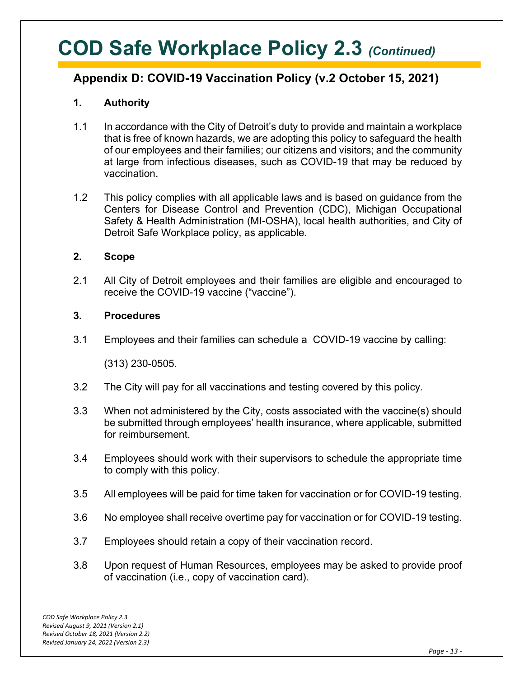### **Appendix D: COVID-19 Vaccination Policy (v.2 October 15, 2021)**

#### **1. Authority**

- 1.1 In accordance with the City of Detroit's duty to provide and maintain a workplace that is free of known hazards, we are adopting this policy to safeguard the health of our employees and their families; our citizens and visitors; and the community at large from infectious diseases, such as COVID-19 that may be reduced by vaccination.
- 1.2 This policy complies with all applicable laws and is based on guidance from the Centers for Disease Control and Prevention (CDC), Michigan Occupational Safety & Health Administration (MI-OSHA), local health authorities, and City of Detroit Safe Workplace policy, as applicable.

#### **2. Scope**

2.1 All City of Detroit employees and their families are eligible and encouraged to receive the COVID-19 vaccine ("vaccine").

#### **3. Procedures**

3.1 Employees and their families can schedule a COVID-19 vaccine by calling:

(313) 230-0505.

- 3.2 The City will pay for all vaccinations and testing covered by this policy.
- 3.3 When not administered by the City, costs associated with the vaccine(s) should be submitted through employees' health insurance, where applicable, submitted for reimbursement.
- 3.4 Employees should work with their supervisors to schedule the appropriate time to comply with this policy.
- 3.5 All employees will be paid for time taken for vaccination or for COVID-19 testing.
- 3.6 No employee shall receive overtime pay for vaccination or for COVID-19 testing.
- 3.7 Employees should retain a copy of their vaccination record.
- 3.8 Upon request of Human Resources, employees may be asked to provide proof of vaccination (i.e., copy of vaccination card).